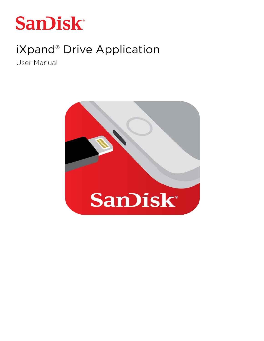

# iXpand® Drive Application

User Manual

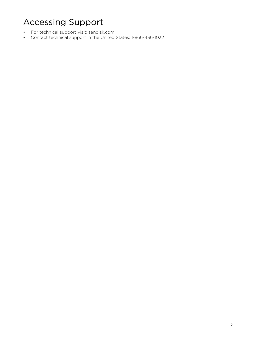# Accessing Support

- For technical support visit: sandisk.com
- Contact technical support in the United States: 1-866-436-1032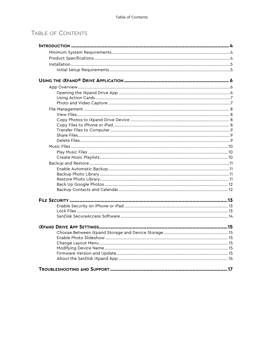#### TABLE OF CONTENTS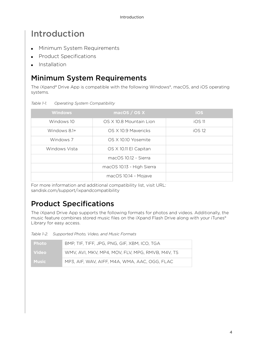# <span id="page-3-0"></span>Introduction

- **Minimum System Requirements**
- **Product Specifications**
- Installation

## <span id="page-3-1"></span>Minimum System Requirements

The iXpand® Drive App is compatible with the following Windows®, macOS, and iOS operating systems.

| <b>Windows</b> | macOS / OS X              | ios      |
|----------------|---------------------------|----------|
| Windows 10     | OS X 10.8 Mountain Lion   | $iOS$ 11 |
| Windows 8.1+   | OS X 10.9 Mavericks       | iOS12    |
| Windows 7      | OS X 10.10 Yosemite       |          |
| Windows Vista  | OS X 10.11 El Capitan     |          |
|                | macOS 10.12 - Sierra      |          |
|                | macOS 10.13 - High Sierra |          |
|                | macOS 10.14 - Mojave      |          |

*Table 1-1. Operating System Compatibility* 

For more information and additional compatibility list, visit URL: sandisk.com/support/ixpandcompatibility

# <span id="page-3-2"></span>Product Specifications

The iXpand Drive App supports the following formats for photos and videos. Additionally, the music feature combines stored music files on the iXpand Flash Drive along with your iTunes® Library for easy access.

| Table 1-2. Supported Photo, Video, and Music Formats |  |  |
|------------------------------------------------------|--|--|
|                                                      |  |  |

| <b>Photo</b> | BMP, TIF, TIFF, JPG, PNG, GIF, XBM, ICO, TGA     |
|--------------|--------------------------------------------------|
| <b>Video</b> | WMV, AVI, MKV, MP4, MOV, FLV, MPG, RMVB, M4V. TS |
| <b>Music</b> | MP3, AIF, WAV, AIFF, M4A, WMA, AAC, OGG, FLAC    |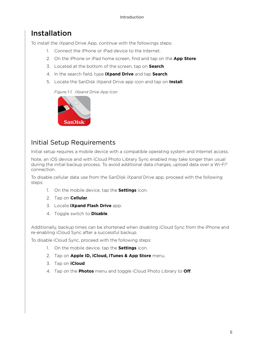## <span id="page-4-0"></span>Installation

To install the iXpand Drive App, continue with the followings steps:

- 1. Connect the iPhone or iPad device to the Internet.
- 2. On the iPhone or iPad home screen, find and tap on the **App Store**.
- 3. Located at the bottom of the screen, tap on **Search**.
- 4. In the search field, type **iXpand Drive** and tap **Search**.
- 5. Locate the SanDisk iXpand Drive app icon and tap on **Install**.

*Figure 1-1. iXpand Drive App Icon*



#### <span id="page-4-1"></span>Initial Setup Requirements

Initial setup requires a mobile device with a compatible operating system and Internet access.

Note, an iOS device and with iCloud Photo Library Sync enabled may take longer than usual during the initial backup process. To avoid additional data charges, upload data over a Wi-Fi® connection.

To disable cellular data use from the SanDisk iXpand Drive app, proceed with the following steps:

- 1. On the mobile device, tap the **Settings** icon.
- 2. Tap on **Cellular**.
- 3. Locate **iXpand Flash Drive** app.
- 4. Toggle switch to **Disable**.

Additionally, backup times can be shortened when disabling iCloud Sync from the iPhone and re-enabling iCloud Sync after a successful backup.

To disable iCloud Sync, proceed with the following steps:

- 1. On the mobile device, tap the **Settings** icon.
- 2. Tap on **Apple ID, iCloud, iTunes & App Store** menu.
- 3. Tap on **iCloud**.
- 4. Tap on the **Photos** menu and toggle iCloud Photo Library to **Off**.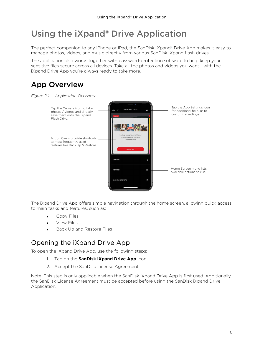# <span id="page-5-0"></span>Using the iXpand® Drive Application

The perfect companion to any iPhone or iPad, the SanDisk iXpand® Drive App makes it easy to manage photos, videos, and music directly from various SanDisk iXpand flash drives.

The application also works together with password-protection software to help keep your sensitive files secure across all devices. Take all the photos and videos you want - with the iXpand Drive App you're always ready to take more.

# <span id="page-5-1"></span>App Overview





The iXpand Drive App offers simple navigation through the home screen, allowing quick access to main tasks and features, such as:

- **Copy Files**
- View Files
- Back Up and Restore Files

#### <span id="page-5-2"></span>Opening the iXpand Drive App

To open the iXpand Drive App, use the following steps:

- 1. Tap on the **SanDisk iXpand Drive App** icon.
- 2. Accept the SanDisk License Agreement.

Note: This step is only applicable when the SanDisk iXpand Drive App is first used. Additionally, the SanDisk License Agreement must be accepted before using the SanDisk iXpand Drive Application.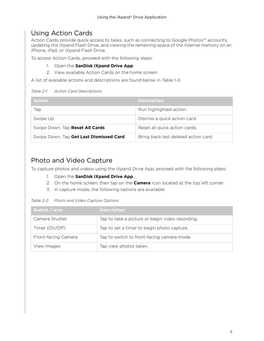### <span id="page-6-0"></span>Using Action Cards

Action Cards provide quick access to tasks, such as connecting to Google Photos™ accounts, updating the iXpand Flash Drive, and viewing the remaining space of the internal memory on an iPhone, iPad, or iXpand Flash Drive.

To access Action Cards, proceed with the following steps:

#### 1. Open the **SanDisk iXpand Drive App**.

2. View available Action Cards on the home screen.

A list of available actions and descriptions are found below in Table 1-3.

#### *Table 2-1. Action Card Descriptions*

| <b>Action</b>                           | <b>Description</b>                   |
|-----------------------------------------|--------------------------------------|
| Tap                                     | Run highlighted action.              |
| Swipe Up                                | Dismiss a quick action card.         |
| Swipe Down, Tap Reset All Cards         | Reset all quick action cards.        |
| Swipe Down, Tap Get Last Dismissed Card | Bring back last deleted action card. |

#### <span id="page-6-1"></span>Photo and Video Capture

To capture photos and videos using the iXpand Drive App, proceed with the following steps:

- 1. Open the **SanDisk iXpand Drive App**.
- 2. On the home screen, then tap on the **Camera** icon located at the top left corner.
- 3. In capture mode, the following options are available:

#### *Table 2-2. Photo and Video Capture Options*

| <b>Button / Icon</b> | <b>Description</b>                              |
|----------------------|-------------------------------------------------|
| Camera Shutter       | Tap to take a picture or begin video recording. |
| Timer (On/Off)       | Tap to set a timer to begin photo capture.      |
| Front-facing Camera  | Tap to switch to front-facing camera mode.      |
| View Images          | Tap view photos taken.                          |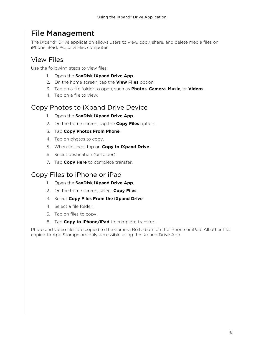### <span id="page-7-0"></span>File Management

The iXpand® Drive application allows users to view, copy, share, and delete media files on iPhone, iPad, PC, or a Mac computer.

### <span id="page-7-1"></span>View Files

Use the following steps to view files:

- 1. Open the **SanDisk iXpand Drive App**.
- 2. On the home screen, tap the **View Files** option.
- 3. Tap on a file folder to open, such as **Photos**, **Camera**, **Music**, or **Videos**.
- 4. Tap on a file to view.

#### <span id="page-7-2"></span>Copy Photos to iXpand Drive Device

- 1. Open the **SanDisk iXpand Drive App**.
- 2. On the home screen, tap the **Copy Files** option.
- 3. Tap **Copy Photos From Phone**.
- 4. Tap on photos to copy.
- 5. When finished, tap on **Copy to iXpand Drive**.
- 6. Select destination (or folder).
- 7. Tap **Copy Here** to complete transfer.

#### <span id="page-7-3"></span>Copy Files to iPhone or iPad

- 1. Open the **SanDisk iXpand Drive App**.
- 2. On the home screen, select **Copy Files**.
- 3. Select **Copy Files From the iXpand Drive**.
- 4. Select a file folder.
- 5. Tap on files to copy.
- 6. Tap **Copy to iPhone/iPad** to complete transfer.

Photo and video files are copied to the Camera Roll album on the iPhone or iPad. All other files copied to App Storage are only accessible using the iXpand Drive App.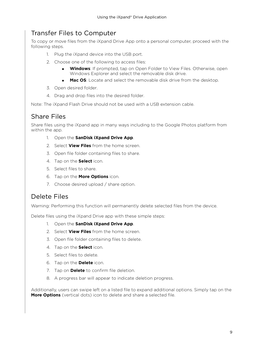#### <span id="page-8-0"></span>Transfer Files to Computer

To copy or move files from the iXpand Drive App onto a personal computer, proceed with the following steps.

- 1. Plug the iXpand device into the USB port.
- 2. Choose one of the following to access files:
	- **Windows**: If prompted, tap on Open Folder to View Files. Otherwise, open Windows Explorer and select the removable disk drive.
	- **Mac OS**: Locate and select the removable disk drive from the desktop.
- 3. Open desired folder.
- 4. Drag and drop files into the desired folder.

Note: The iXpand Flash Drive should not be used with a USB extension cable.

### <span id="page-8-1"></span>Share Files

Share files using the iXpand app in many ways including to the Google Photos platform from within the app.

- 1. Open the **SanDisk iXpand Drive App**.
- 2. Select **View Files** from the home screen.
- 3. Open file folder containing files to share.
- 4. Tap on the **Select** icon.
- 5. Select files to share.
- 6. Tap on the **More Options** icon.
- 7. Choose desired upload / share option.

#### <span id="page-8-2"></span>Delete Files

Warning: Performing this function will permanently delete selected files from the device.

Delete files using the iXpand Drive app with these simple steps:

- 1. Open the **SanDisk iXpand Drive App**.
- 2. Select **View Files** from the home screen.
- 3. Open file folder containing files to delete.
- 4. Tap on the **Select** icon.
- 5. Select files to delete.
- 6. Tap on the **Delete** icon.
- 7. Tap on **Delete** to confirm file deletion.
- 8. A progress bar will appear to indicate deletion progress.

Additionally, users can swipe left on a listed file to expand additional options. Simply tap on the **More Options** (vertical dots) icon to delete and share a selected file.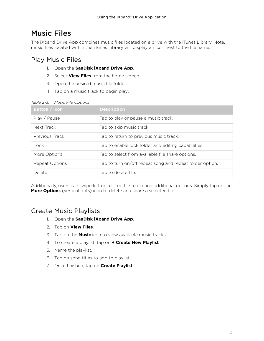## <span id="page-9-0"></span>Music Files

The iXpand Drive App combines music files located on a drive with the iTunes Library. Note, music files located within the iTunes Library will display an icon next to the file name.

#### <span id="page-9-1"></span>Play Music Files

- 1. Open the **SanDisk iXpand Drive App**.
- 2. Select **View Files** from the home screen.
- 3. Open the desired music file folder.
- 4. Tap on a music track to begin play.

| <b>Button / Icon</b> | <b>Description</b>                                       |
|----------------------|----------------------------------------------------------|
| Play / Pause         | Tap to play or pause a music track.                      |
| Next Track           | Tap to skip music track.                                 |
| Previous Track       | Tap to return to previous music track.                   |
| Lock                 | Tap to enable lock folder and editing capabilities.      |
| More Options         | Tap to select from available file share options.         |
| Repeat Options       | Tap to turn on/off repeat song and repeat folder option. |
| Delete               | Tap to delete file.                                      |

#### *Table 2-3. Music File Options*

Additionally, users can swipe left on a listed file to expand additional options. Simply tap on the **More Options** (vertical dots) icon to delete and share a selected file.

#### <span id="page-9-2"></span>Create Music Playlists

- 1. Open the **SanDisk iXpand Drive App**.
- 2. Tap on **View Files**.
- 3. Tap on the **Music** icon to view available music tracks.
- 4. To create a playlist, tap on **+ Create New Playlist**.
- 5. Name the playlist.
- 6. Tap on song titles to add to playlist.
- 7. Once finished, tap on **Create Playlist**.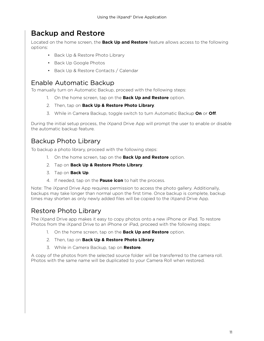## <span id="page-10-0"></span>Backup and Restore

Located on the home screen, the **Back Up and Restore** feature allows access to the following options:

- Back Up & Restore Photo Library
- Back Up Google Photos
- Back Up & Restore Contacts / Calendar

#### <span id="page-10-1"></span>Enable Automatic Backup

To manually turn on Automatic Backup, proceed with the following steps:

- 1. On the home screen, tap on the **Back Up and Restore** option.
- 2. Then, tap on **Back Up & Restore Photo Library**.
- 3. While in Camera Backup, toggle switch to turn Automatic Backup **On** or **Off**.

During the initial setup process, the iXpand Drive App will prompt the user to enable or disable the automatic backup feature.

#### <span id="page-10-2"></span>Backup Photo Library

To backup a photo library, proceed with the following steps:

- 1. On the home screen, tap on the **Back Up and Restore** option.
- 2. Tap on **Back Up & Restore Photo Library**.
- 3. Tap on **Back Up**.
- 4. If needed, tap on the **Pause icon** to halt the process.

Note: The iXpand Drive App requires permission to access the photo gallery. Additionally, backups may take longer than normal upon the first time. Once backup is complete, backup times may shorten as only newly added files will be copied to the iXpand Drive App.

#### <span id="page-10-3"></span>Restore Photo Library

The iXpand Drive app makes it easy to copy photos onto a new iPhone or iPad. To restore Photos from the iXpand Drive to an iPhone or iPad, proceed with the following steps:

- 1. On the home screen, tap on the **Back Up and Restore** option.
- 2. Then, tap on **Back Up & Restore Photo Library**.
- 3. While in Camera Backup, tap on **Restore**.

A copy of the photos from the selected source folder will be transferred to the camera roll. Photos with the same name will be duplicated to your Camera Roll when restored.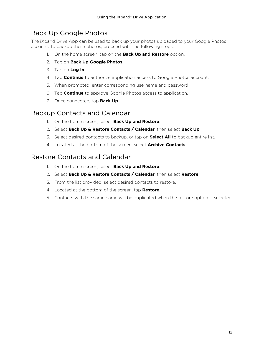#### <span id="page-11-0"></span>Back Up Google Photos

The iXpand Drive App can be used to back up your photos uploaded to your Google Photos account. To backup these photos, proceed with the following steps:

- 1. On the home screen, tap on the **Back Up and Restore** option.
- 2. Tap on **Back Up Google Photos**.
- 3. Tap on **Log In**.
- 4. Tap **Continue** to authorize application access to Google Photos account.
- 5. When prompted, enter corresponding username and password.
- 6. Tap **Continue** to approve Google Photos access to application.
- 7. Once connected, tap **Back Up**.

#### <span id="page-11-1"></span>Backup Contacts and Calendar

- 1. On the home screen, select **Back Up and Restore**.
- 2. Select **Back Up & Restore Contacts / Calendar**, then select **Back Up**.
- 3. Select desired contacts to backup, or tap on **Select All** to backup entire list.
- 4. Located at the bottom of the screen, select **Archive Contacts**.

#### Restore Contacts and Calendar

- 1. On the home screen, select **Back Up and Restore**.
- 2. Select **Back Up & Restore Contacts / Calendar**, then select **Restore**.
- 3. From the list provided, select desired contacts to restore.
- 4. Located at the bottom of the screen, tap **Restore**.
- 5. Contacts with the same name will be duplicated when the restore option is selected.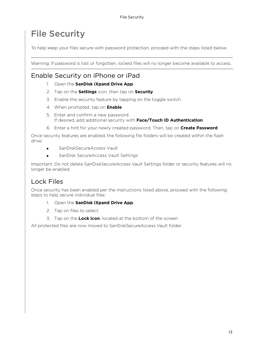# <span id="page-12-0"></span>File Security

To help keep your files secure with password protection, proceed with the steps listed below.

Warning: If password is lost or forgotten, locked files will no longer become available to access.

#### <span id="page-12-1"></span>Enable Security on iPhone or iPad

- 1. Open the **SanDisk iXpand Drive App**.
- 2. Tap on the **Settings** icon, then tap on **Security**.
- 3. Enable the security feature by tapping on the toggle switch.
- 4. When prompted, tap on **Enable**.
- 5. Enter and confirm a new password. If desired, add additional security with **Face/Touch ID Authentication**.
- 6. Enter a hint for your newly created password. Then, tap on **Create Password**.

Once security features are enabled, the following file folders will be created within the flash drive:

- SanDiskSecureAccess Vault
- SanDisk SecureAccess Vault Settings

Important: Do not delete SanDiskSecureAccess Vault Settings folder or security features will no longer be enabled.

### <span id="page-12-2"></span>Lock Files

Once security has been enabled per the instructions listed above, proceed with the following steps to help secure individual files:

- 1. Open the **SanDisk iXpand Drive App**.
- 2. Tap on files to select.
- 3. Tap on the **Lock icon**, located at the bottom of the screen.

All protected files are now moved to SanDiskSecureAccess Vault folder.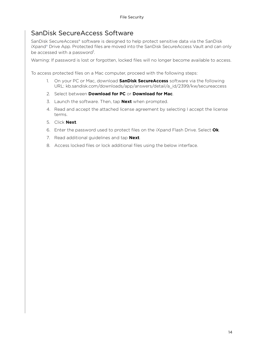#### <span id="page-13-0"></span>SanDisk SecureAccess Software

SanDisk SecureAccess® software is designed to help protect sensitive data via the SanDisk iXpand® Drive App. Protected files are moved into the SanDisk SecureAccess Vault and can only be accessed with a password<sup>1</sup>.

Warning: If password is lost or forgotten, locked files will no longer become available to access.

To access protected files on a Mac computer, proceed with the following steps:

- 1. On your PC or Mac, download **SanDisk SecureAccess** software via the following URL: kb.sandisk.com/downloads/app/answers/detail/a\_id/2399/kw/secureaccess
- 2. Select between **Download for PC** or **Download for Mac**.
- 3. Launch the software. Then, tap **Next** when prompted.
- 4. Read and accept the attached license agreement by selecting I accept the license terms.
- 5. Click **Next**.
- 6. Enter the password used to protect files on the iXpand Flash Drive. Select **Ok**.
- 7. Read additional guidelines and tap **Next**.
- 8. Access locked files or lock additional files using the below interface.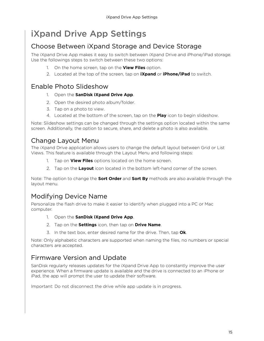# <span id="page-14-0"></span>iXpand Drive App Settings

### <span id="page-14-1"></span>Choose Between iXpand Storage and Device Storage

The iXpand Drive App makes it easy to switch between iXpand Drive and iPhone/iPad storage. Use the followings steps to switch between these two options:

- 1. On the home screen, tap on the **View Files** option.
- 2. Located at the top of the screen, tap on **iXpand** or **iPhone/iPad** to switch.

#### <span id="page-14-2"></span>Enable Photo Slideshow

- 1. Open the **SanDisk iXpand Drive App**.
- 2. Open the desired photo album/folder.
- 3. Tap on a photo to view.
- 4. Located at the bottom of the screen, tap on the **Play** icon to begin slideshow.

Note: Slideshow settings can be changed through the settings option located within the same screen. Additionally, the option to secure, share, and delete a photo is also available.

#### <span id="page-14-3"></span>Change Layout Menu

The iXpand Drive application allows users to change the default layout between Grid or List Views. This feature is available through the Layout Menu and following steps:

- 1. Tap on **View Files** options located on the home screen.
- 2. Tap on the **Layout** icon located in the bottom left-hand corner of the screen.

Note: The option to change the **Sort Order** and **Sort By** methods are also available through the layout menu.

### <span id="page-14-4"></span>Modifying Device Name

Personalize the flash drive to make it easier to identify when plugged into a PC or Mac computer.

- 1. Open the **SanDisk iXpand Drive App**.
- 2. Tap on the **Settings** icon, then tap on **Drive Name**.
- 3. In the text box, enter desired name for the drive. Then, tap **Ok**.

Note: Only alphabetic characters are supported when naming the files, no numbers or special characters are accepted.

### <span id="page-14-5"></span>Firmware Version and Update

SanDisk regularly releases updates for the iXpand Drive App to constantly improve the user experience. When a firmware update is available and the drive is connected to an iPhone or iPad, the app will prompt the user to update their software.

Important: Do not disconnect the drive while app update is in progress.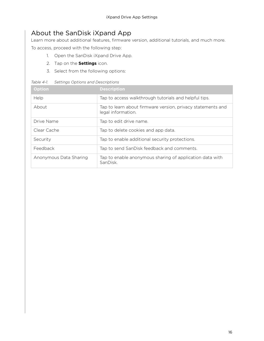### <span id="page-15-0"></span>About the SanDisk iXpand App

Learn more about additional features, firmware version, additional tutorials, and much more.

To access, proceed with the following step:

- 1. Open the SanDisk iXpand Drive App.
- 2. Tap on the **Settings** icon.
- 3. Select from the following options:

| <b>Option</b>          | <b>Description</b>                                                                |
|------------------------|-----------------------------------------------------------------------------------|
| Help                   | Tap to access walkthrough tutorials and helpful tips.                             |
| About                  | Tap to learn about firmware version, privacy statements and<br>legal information. |
| Drive Name             | Tap to edit drive name.                                                           |
| Clear Cache            | Tap to delete cookies and app data.                                               |
| Security               | Tap to enable additional security protections.                                    |
| Feedback               | Tap to send SanDisk feedback and comments.                                        |
| Anonymous Data Sharing | Tap to enable anonymous sharing of application data with<br>SanDisk.              |

*Table 4-1. Settings Options and Descriptions*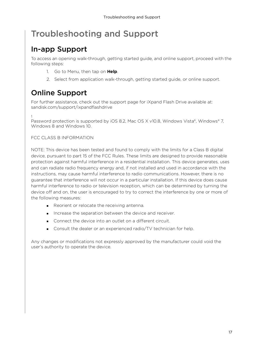# <span id="page-16-0"></span>Troubleshooting and Support

## In-app Support

To access an opening walk-through, getting started guide, and online support, proceed with the following steps:

- 1. Go to Menu, then tap on **Help**.
- 2. Select from application walk-through, getting started guide, or online support.

# Online Support

For further assistance, check out the support page for iXpand Flash Drive available at: sandisk.com/support/ixpandflashdrive

1

Password protection is supported by iOS 8.2, Mac OS X v10.8, Windows Vista®, Windows® 7, Windows 8 and Windows 10.

#### FCC CLASS B INFORMATION

NOTE: This device has been tested and found to comply with the limits for a Class B digital device, pursuant to part 15 of the FCC Rules. These limits are designed to provide reasonable protection against harmful interference in a residential installation. This device generates, uses and can radiate radio frequency energy and, if not installed and used in accordance with the instructions, may cause harmful interference to radio communications. However, there is no guarantee that interference will not occur in a particular installation. If this device does cause harmful interference to radio or television reception, which can be determined by turning the device off and on, the user is encouraged to try to correct the interference by one or more of the following measures:

- Reorient or relocate the receiving antenna.
- Increase the separation between the device and receiver.
- Connect the device into an outlet on a different circuit.
- **Consult the dealer or an experienced radio/TV technician for help.**

Any changes or modifications not expressly approved by the manufacturer could void the user's authority to operate the device.